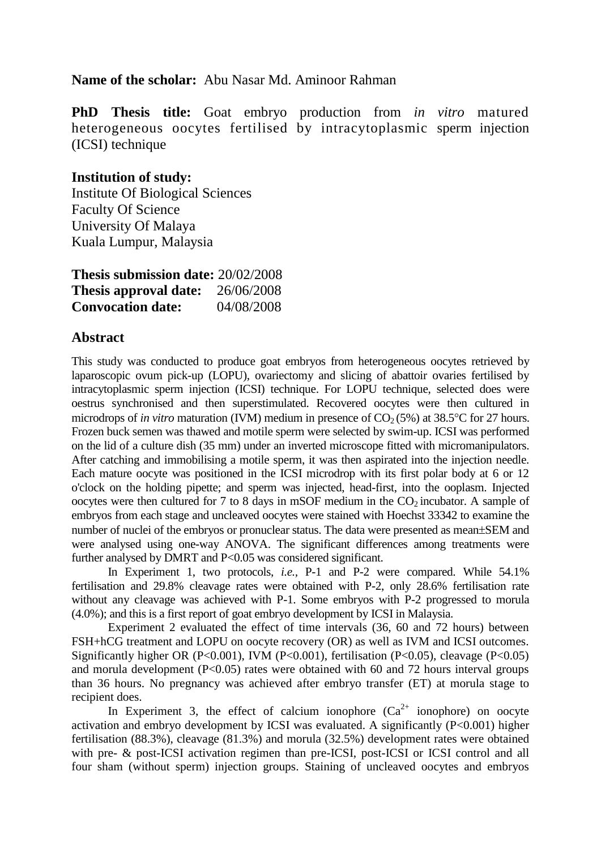## **Name of the scholar:** Abu Nasar Md. Aminoor Rahman

**PhD Thesis title:** Goat embryo production from *in vitro* matured heterogeneous oocytes fertilised by intracytoplasmic sperm injection (ICSI) technique

## **Institution of study:**

Institute Of Biological Sciences Faculty Of Science University Of Malaya Kuala Lumpur, Malaysia

| <b>Thesis submission date: 20/02/2008</b> |            |
|-------------------------------------------|------------|
| <b>Thesis approval date:</b> $26/06/2008$ |            |
| <b>Convocation date:</b>                  | 04/08/2008 |

## **Abstract**

This study was conducted to produce goat embryos from heterogeneous oocytes retrieved by laparoscopic ovum pick-up (LOPU), ovariectomy and slicing of abattoir ovaries fertilised by intracytoplasmic sperm injection (ICSI) technique. For LOPU technique, selected does were oestrus synchronised and then superstimulated. Recovered oocytes were then cultured in microdrops of *in vitro* maturation (IVM) medium in presence of  $CO<sub>2</sub>(5%)$  at  $38.5^{\circ}$ C for 27 hours. Frozen buck semen was thawed and motile sperm were selected by swim-up. ICSI was performed on the lid of a culture dish (35 mm) under an inverted microscope fitted with micromanipulators. After catching and immobilising a motile sperm, it was then aspirated into the injection needle. Each mature oocyte was positioned in the ICSI microdrop with its first polar body at 6 or 12 o'clock on the holding pipette; and sperm was injected, head-first, into the ooplasm. Injected oocytes were then cultured for 7 to 8 days in mSOF medium in the  $CO<sub>2</sub>$  incubator. A sample of embryos from each stage and uncleaved oocytes were stained with Hoechst 33342 to examine the number of nuclei of the embryos or pronuclear status. The data were presented as mean $\pm$ SEM and were analysed using one-way ANOVA. The significant differences among treatments were further analysed by DMRT and P<0.05 was considered significant.

In Experiment 1, two protocols, *i.e.,* P-1 and P-2 were compared. While 54.1% fertilisation and 29.8% cleavage rates were obtained with P-2, only 28.6% fertilisation rate without any cleavage was achieved with P-1. Some embryos with P-2 progressed to morula (4.0%); and this is a first report of goat embryo development by ICSI in Malaysia.

Experiment 2 evaluated the effect of time intervals (36, 60 and 72 hours) between FSH+hCG treatment and LOPU on oocyte recovery (OR) as well as IVM and ICSI outcomes. Significantly higher OR (P<0.001), IVM (P<0.001), fertilisation (P<0.05), cleavage (P<0.05) and morula development  $(P<0.05)$  rates were obtained with 60 and 72 hours interval groups than 36 hours. No pregnancy was achieved after embryo transfer (ET) at morula stage to recipient does.

In Experiment 3, the effect of calcium ionophore  $(Ca^{2+})$  ionophore) on oocyte activation and embryo development by ICSI was evaluated. A significantly (P<0.001) higher fertilisation (88.3%), cleavage (81.3%) and morula (32.5%) development rates were obtained with pre- & post-ICSI activation regimen than pre-ICSI, post-ICSI or ICSI control and all four sham (without sperm) injection groups. Staining of uncleaved oocytes and embryos